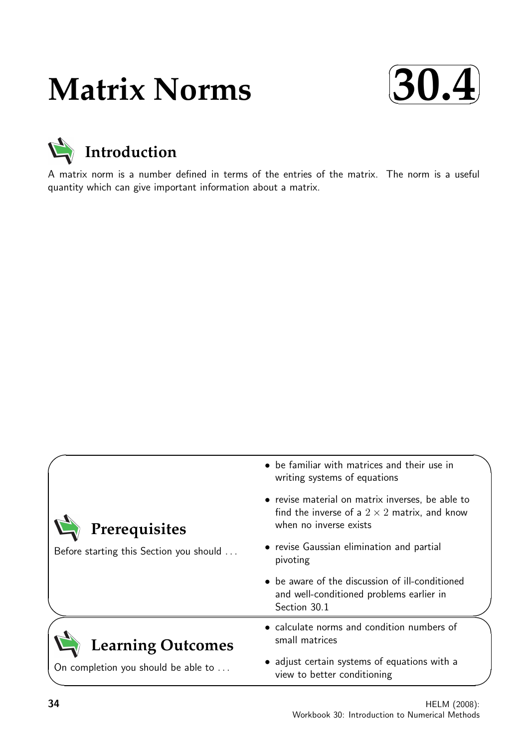# **Matrix Norms**





A matrix norm is a number defined in terms of the entries of the matrix. The norm is a useful quantity which can give important information about a matrix.

|                                                          | • be familiar with matrices and their use in<br>writing systems of equations                                                      |  |  |  |  |
|----------------------------------------------------------|-----------------------------------------------------------------------------------------------------------------------------------|--|--|--|--|
| Prerequisites<br>Before starting this Section you should | • revise material on matrix inverses, be able to<br>find the inverse of a $2 \times 2$ matrix, and know<br>when no inverse exists |  |  |  |  |
|                                                          | • revise Gaussian elimination and partial<br>pivoting                                                                             |  |  |  |  |
|                                                          | • be aware of the discussion of ill-conditioned<br>and well-conditioned problems earlier in<br>Section 30.1                       |  |  |  |  |
| <b>Learning Outcomes</b>                                 | • calculate norms and condition numbers of<br>small matrices                                                                      |  |  |  |  |
| On completion you should be able to                      | • adjust certain systems of equations with a<br>view to better conditioning                                                       |  |  |  |  |

✧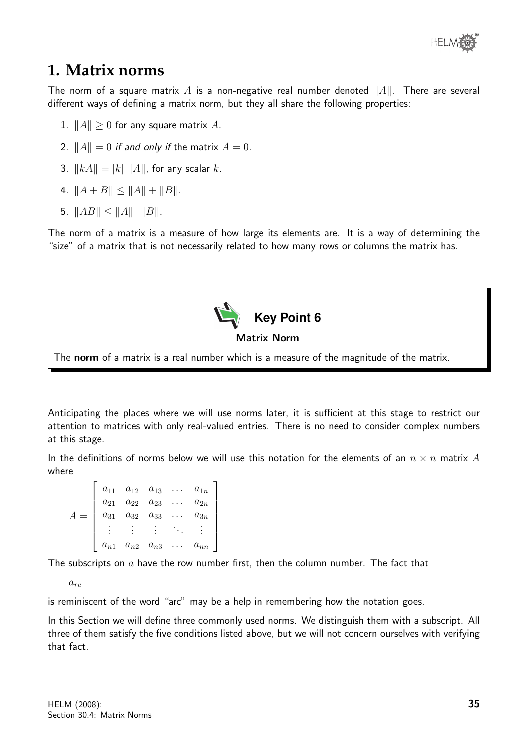

# **1. Matrix norms**

The norm of a square matrix A is a non-negative real number denoted  $||A||$ . There are several different ways of defining a matrix norm, but they all share the following properties:

- 1.  $||A|| \geq 0$  for any square matrix A.
- 2.  $||A|| = 0$  if and only if the matrix  $A = 0$ .
- 3.  $\|kA\| = |k| \|A\|$ , for any scalar k.
- 4.  $||A + B|| \le ||A|| + ||B||$ .
- 5.  $||AB|| \le ||A|| \cdot ||B||$ .

The norm of a matrix is a measure of how large its elements are. It is a way of determining the "size" of a matrix that is not necessarily related to how many rows or columns the matrix has.



The norm of a matrix is a real number which is a measure of the magnitude of the matrix.

Anticipating the places where we will use norms later, it is sufficient at this stage to restrict our attention to matrices with only real-valued entries. There is no need to consider complex numbers at this stage.

In the definitions of norms below we will use this notation for the elements of an  $n \times n$  matrix A where

|          | $a_{11}$ $a_{12}$ $a_{13}$ $a_{1n}$ |          |
|----------|-------------------------------------|----------|
| $a_{21}$ | $a_{22}$ $a_{23}$                   | $a_{2n}$ |
|          | $a_{31}$ $a_{32}$ $a_{33}$          | $a_{3n}$ |
|          |                                     |          |
| $a_{n1}$ | $\, a_{n2} \quad a_{n3}$            |          |

The subscripts on  $a$  have the row number first, then the column number. The fact that

 $a_{rc}$ 

is reminiscent of the word "arc" may be a help in remembering how the notation goes.

In this Section we will define three commonly used norms. We distinguish them with a subscript. All three of them satisfy the five conditions listed above, but we will not concern ourselves with verifying that fact.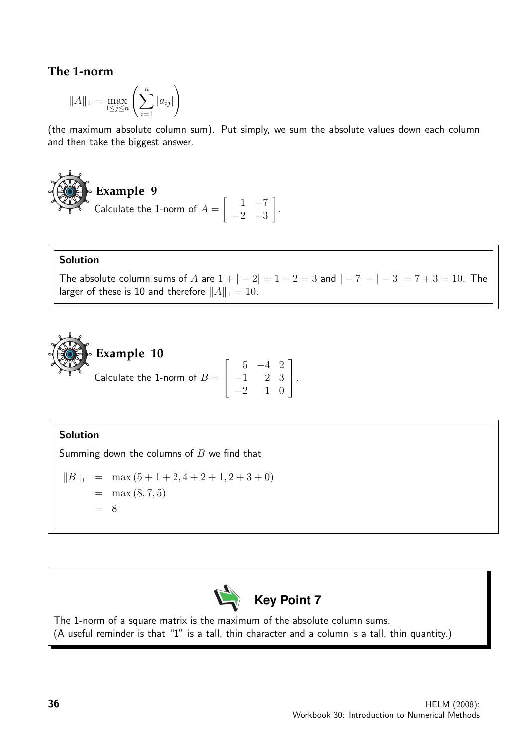#### **The 1-norm**

$$
||A||_1 = \max_{1 \le j \le n} \left( \sum_{i=1}^n |a_{ij}| \right)
$$

(the maximum absolute column sum). Put simply, we sum the absolute values down each column and then take the biggest answer.

Example 9  
Calculate the 1-norm of 
$$
A = \begin{bmatrix} 1 & -7 \\ -2 & -3 \end{bmatrix}
$$
.

#### Solution

The absolute column sums of A are  $1 + |-2| = 1 + 2 = 3$  and  $|-7| + |-3| = 7 + 3 = 10$ . The larger of these is 10 and therefore  $||A||_1 = 10$ .

> 1  $\vert \cdot$

**Example 10**  
Calculate the 1-norm of 
$$
B = \begin{bmatrix} 5 & -4 & 2 \\ -1 & 2 & 3 \\ -2 & 1 & 0 \end{bmatrix}
$$

#### Solution

Summing down the columns of  $B$  we find that

$$
||B||_1 = \max (5 + 1 + 2, 4 + 2 + 1, 2 + 3 + 0)
$$
  
= max (8, 7, 5)  
= 8



The 1-norm of a square matrix is the maximum of the absolute column sums. (A useful reminder is that "1" is a tall, thin character and a column is a tall, thin quantity.)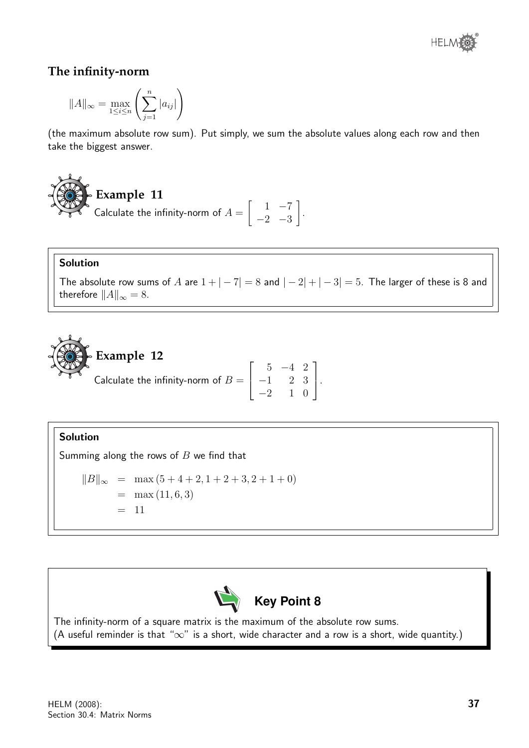

#### **The infinity-norm**

$$
||A||_{\infty} = \max_{1 \leq i \leq n} \left( \sum_{j=1}^{n} |a_{ij}| \right)
$$

(the maximum absolute row sum). Put simply, we sum the absolute values along each row and then take the biggest answer.

# **Example 11**

Calculate the infinity-norm of  $A =$  $\begin{bmatrix} 1 & -7 \end{bmatrix}$  $-2$   $-3$ 1 .

#### Solution

The absolute row sums of A are  $1 + |-7| = 8$  and  $|-2| + |-3| = 5$ . The larger of these is 8 and therefore  $||A||_{\infty} = 8$ .

> 1  $\vert \cdot$



#### Solution

Summing along the rows of  $B$  we find that

$$
||B||_{\infty} = \max(5+4+2, 1+2+3, 2+1+0)
$$
  
= max (11, 6, 3)  
= 11



The infinity-norm of a square matrix is the maximum of the absolute row sums. (A useful reminder is that " $\infty$ " is a short, wide character and a row is a short, wide quantity.)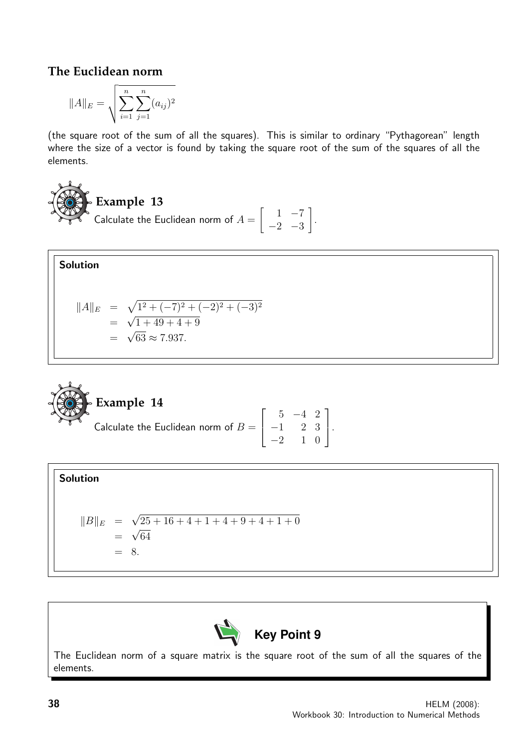### **The Euclidean norm**

$$
||A||_E = \sqrt{\sum_{i=1}^n \sum_{j=1}^n (a_{ij})^2}
$$

(the square root of the sum of all the squares). This is similar to ordinary "Pythagorean" length where the size of a vector is found by taking the square root of the sum of the squares of all the elements.

**Example 13**  
Calculate the Euclidean norm of 
$$
A = \begin{bmatrix} 1 & -7 \\ -2 & -3 \end{bmatrix}
$$
.

Solution

Solution

$$
||A||_E = \sqrt{1^2 + (-7)^2 + (-2)^2 + (-3)^2}
$$
  
=  $\sqrt{1 + 49 + 4 + 9}$   
=  $\sqrt{63} \approx 7.937.$ 

Example 14  
Calculate the Euclidean norm of 
$$
B = \begin{bmatrix} 5 & -4 & 2 \\ -1 & 2 & 3 \\ -2 & 1 & 0 \end{bmatrix}
$$
.

$$
||B||_E = \sqrt{25 + 16 + 4 + 1 + 4 + 9 + 4 + 1 + 0}
$$
  
=  $\sqrt{64}$   
= 8.



The Euclidean norm of a square matrix is the square root of the sum of all the squares of the elements.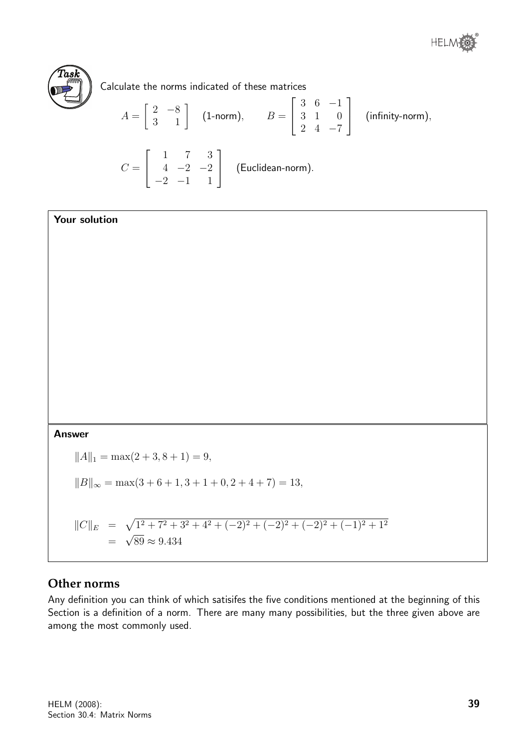

Calculate the norms indicated of these matrices

$$
A = \begin{bmatrix} 2 & -8 \\ 3 & 1 \end{bmatrix}
$$
 (1-norm), 
$$
B = \begin{bmatrix} 3 & 6 & -1 \\ 3 & 1 & 0 \\ 2 & 4 & -7 \end{bmatrix}
$$
 (infinity-norm),  

$$
C = \begin{bmatrix} 1 & 7 & 3 \\ 4 & -2 & -2 \\ -2 & -1 & 1 \end{bmatrix}
$$
 (Euclidean-norm).

#### Your solution

Answer

 $||A||_1 = \max(2 + 3, 8 + 1) = 9,$  $||B||_{\infty} = \max(3 + 6 + 1, 3 + 1 + 0, 2 + 4 + 7) = 13,$  $||C||_E = \sqrt{1^2 + 7^2 + 3^2 + 4^2 + (-2)^2 + (-2)^2 + (-2)^2 + (-1)^2 + 1^2}$ =  $\mathbf{v}_j$  $89 \approx 9.434$ 

#### **Other norms**

Any definition you can think of which satisifes the five conditions mentioned at the beginning of this Section is a definition of a norm. There are many many possibilities, but the three given above are among the most commonly used.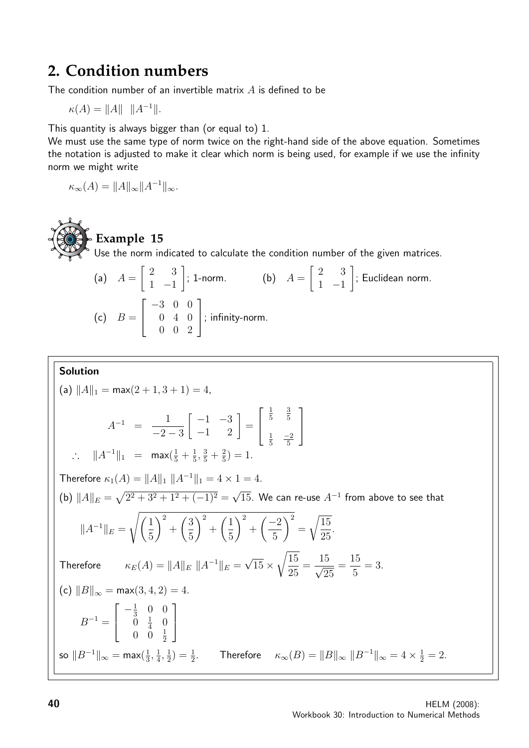# **2. Condition numbers**

The condition number of an invertible matrix  $A$  is defined to be

 $\kappa(A) = ||A|| \, ||A^{-1}||.$ 

This quantity is always bigger than (or equal to) 1.

We must use the same type of norm twice on the right-hand side of the above equation. Sometimes the notation is adjusted to make it clear which norm is being used, for example if we use the infinity norm we might write

$$
\kappa_{\infty}(A) = ||A||_{\infty} ||A^{-1}||_{\infty}.
$$



**Example 15**

Use the norm indicated to calculate the condition number of the given matrices.

(a) 
$$
A = \begin{bmatrix} 2 & 3 \\ 1 & -1 \end{bmatrix}
$$
; 1-norm. (b)  $A = \begin{bmatrix} 2 & 3 \\ 1 & -1 \end{bmatrix}$ ; Euclidean norm.  
(c)  $B = \begin{bmatrix} -3 & 0 & 0 \\ 0 & 4 & 0 \\ 0 & 0 & 2 \end{bmatrix}$ ; infinity-norm.

#### Solution

(a) 
$$
||A||_1 = \max(2 + 1, 3 + 1) = 4
$$
,  
\n
$$
A^{-1} = \frac{1}{-2 - 3} \begin{bmatrix} -1 & -3 \ -1 & 2 \end{bmatrix} = \begin{bmatrix} \frac{1}{5} & \frac{3}{5} \\ \frac{1}{5} & \frac{-2}{5} \end{bmatrix}
$$
\n $\therefore ||A^{-1}||_1 = \max(\frac{1}{5} + \frac{1}{5}, \frac{3}{5} + \frac{2}{5}) = 1$ .  
\nTherefore  $\kappa_1(A) = ||A||_1 ||A^{-1}||_1 = 4 \times 1 = 4$ .  
\n(b)  $||A||_E = \sqrt{2^2 + 3^2 + 1^2 + (-1)^2} = \sqrt{15}$ . We can re-use  $A^{-1}$  from above to see that  
\n $||A^{-1}||_E = \sqrt{\left(\frac{1}{5}\right)^2 + \left(\frac{3}{5}\right)^2 + \left(\frac{1}{5}\right)^2 + \left(\frac{-2}{5}\right)^2} = \sqrt{\frac{15}{25}}$ .  
\nTherefore  $\kappa_E(A) = ||A||_E ||A^{-1}||_E = \sqrt{15} \times \sqrt{\frac{15}{25}} = \frac{15}{\sqrt{25}} = \frac{15}{5} = 3$ .  
\n(c)  $||B||_{\infty} = \max(3, 4, 2) = 4$ .  
\n $B^{-1} = \begin{bmatrix} -\frac{1}{3} & 0 & 0 \\ 0 & \frac{1}{4} & 0 \\ 0 & 0 & \frac{1}{2} \end{bmatrix}$   
\nso  $||B^{-1}||_{\infty} = \max(\frac{1}{3}, \frac{1}{4}, \frac{1}{2}) = \frac{1}{2}$ . Therefore  $\kappa_{\infty}(B) = ||B||_{\infty} ||B^{-1}||_{\infty} = 4 \times \frac{1}{2} = 2$ .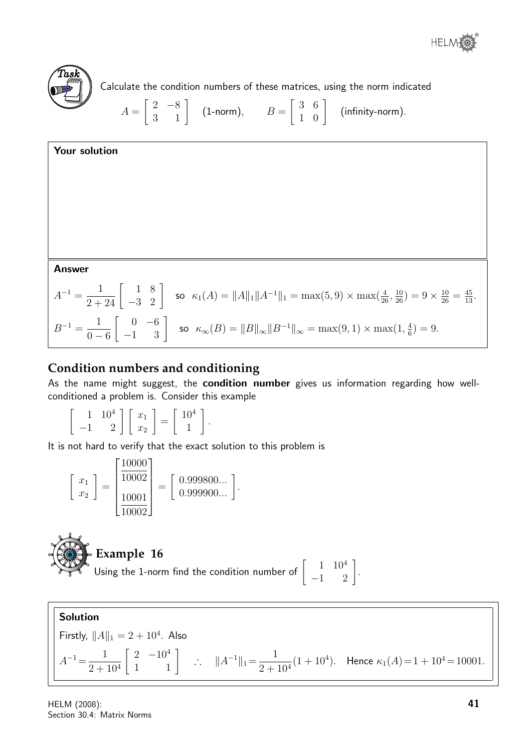



Calculate the condition numbers of these matrices, using the norm indicated

$$
A = \begin{bmatrix} 2 & -8 \\ 3 & 1 \end{bmatrix}
$$
 (1-norm), 
$$
B = \begin{bmatrix} 3 & 6 \\ 1 & 0 \end{bmatrix}
$$
 (infinity-norm).



## **Condition numbers and conditioning**

As the name might suggest, the **condition number** gives us information regarding how wellconditioned a problem is. Consider this example

$$
\left[\begin{array}{cc} 1 & 10^4 \\ -1 & 2 \end{array}\right] \left[\begin{array}{c} x_1 \\ x_2 \end{array}\right] = \left[\begin{array}{c} 10^4 \\ 1 \end{array}\right].
$$

It is not hard to verify that the exact solution to this problem is

$$
\begin{bmatrix} x_1 \\ x_2 \end{bmatrix} = \begin{bmatrix} \frac{10000}{10002} \\ \frac{10001}{10002} \end{bmatrix} = \begin{bmatrix} 0.999800... \\ 0.999900... \end{bmatrix}.
$$



# **Example 16**

Using the 1-norm find the condition number of  $\begin{bmatrix} 1 & 10^4 \\ -1 & 2 \end{bmatrix}$ .

Solution Firstly,  $||A||_1 = 2 + 10^4$ . Also  $A^{-1} = \frac{1}{2}$  $2 + 10<sup>4</sup>$  $\begin{bmatrix} 2 & -10^4 \\ 1 & 1 \end{bmatrix}$  :  $||A^{-1}||_1 = \frac{1}{2+1}$  $2 + 10<sup>4</sup>$  $(1+10^4)$ . Hence  $\kappa_1(A)=1+10^4=10001$ .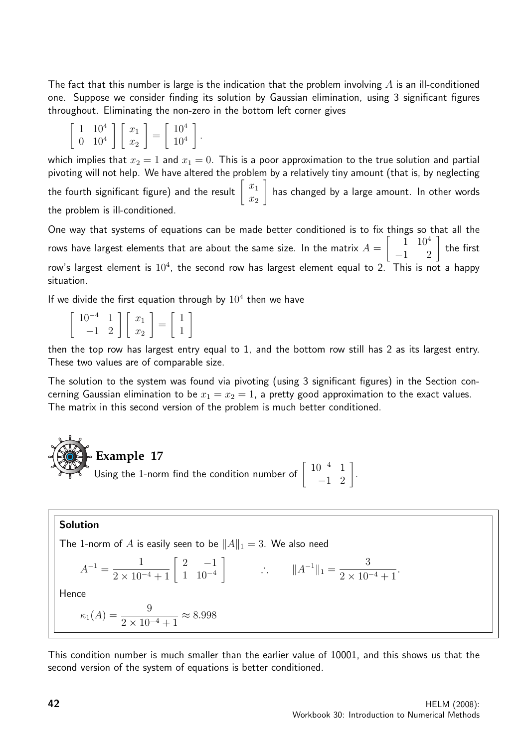The fact that this number is large is the indication that the problem involving  $A$  is an ill-conditioned one. Suppose we consider finding its solution by Gaussian elimination, using 3 significant figures throughout. Eliminating the non-zero in the bottom left corner gives

|  | $\left[\begin{array}{cc} 1 & 10^4 \\ 0 & 10^4 \end{array}\right] \left[\begin{array}{c} x_1 \\ x_2 \end{array}\right] = \left[\begin{array}{c} 10^4 \\ 10^4 \end{array}\right].$ |  |
|--|----------------------------------------------------------------------------------------------------------------------------------------------------------------------------------|--|

which implies that  $x_2 = 1$  and  $x_1 = 0$ . This is a poor approximation to the true solution and partial pivoting will not help. We have altered the problem by a relatively tiny amount (that is, by neglecting the fourth significant figure) and the result  $\left[ \begin{array}{c} x_1 \ x_2 \end{array} \right]$  $\overline{x_2}$ 1 has changed by a large amount. In other words the problem is ill-conditioned.

One way that systems of equations can be made better conditioned is to fix things so that all the rows have largest elements that are about the same size. In the matrix  $A=$  $\begin{bmatrix} 1 & 10^4 \\ -1 & 2 \end{bmatrix}$  the first row's largest element is  $10^4$ , the second row has largest element equal to 2. This is not a happy situation.

If we divide the first equation through by  $10^4$  then we have

| $\left[\begin{array}{cc} 10^{-4} & 1 \\ -1 & 2 \end{array}\right] \left[\begin{array}{c} x_1 \\ x_2 \end{array}\right] =$ |  | $\begin{bmatrix} 1 \\ 1 \end{bmatrix}$ |
|---------------------------------------------------------------------------------------------------------------------------|--|----------------------------------------|

then the top row has largest entry equal to 1, and the bottom row still has 2 as its largest entry. These two values are of comparable size.

The solution to the system was found via pivoting (using 3 significant figures) in the Section concerning Gaussian elimination to be  $x_1 = x_2 = 1$ , a pretty good approximation to the exact values. The matrix in this second version of the problem is much better conditioned.

**Example 17** Using the 1-norm find the condition number of  $\begin{bmatrix} 10^{-4} & 1 \\ -1 & 2 \end{bmatrix}$ .

#### Solution

The 1-norm of A is easily seen to be  $||A||_1 = 3$ . We also need

$$
A^{-1} = \frac{1}{2 \times 10^{-4} + 1} \begin{bmatrix} 2 & -1 \\ 1 & 10^{-4} \end{bmatrix} \qquad \therefore \qquad ||A^{-1}||_1 = \frac{3}{2 \times 10^{-4} + 1}.
$$
  
Hence  

$$
\kappa_1(A) = \frac{9}{2 \times 10^{-4} + 1} \approx 8.998
$$

This condition number is much smaller than the earlier value of 10001, and this shows us that the second version of the system of equations is better conditioned.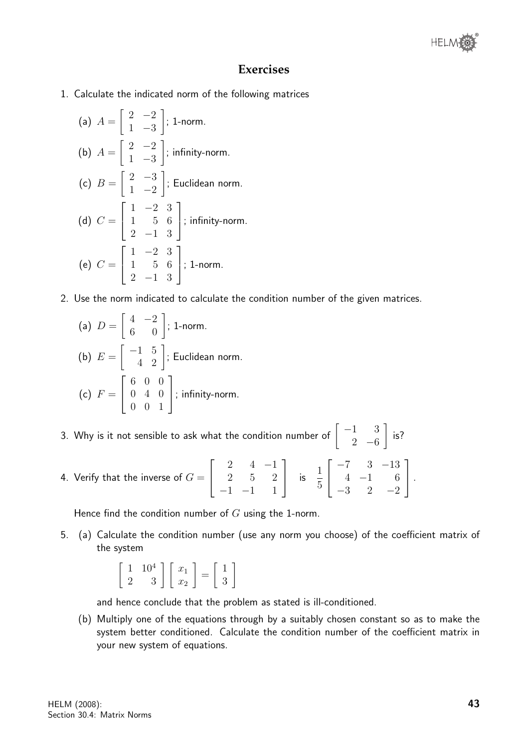

#### **Exercises**

1. Calculate the indicated norm of the following matrices

(a) 
$$
A = \begin{bmatrix} 2 & -2 \ 1 & -3 \end{bmatrix}
$$
; 1-norm.  
\n(b)  $A = \begin{bmatrix} 2 & -2 \ 1 & -3 \end{bmatrix}$ ; infinity-norm.  
\n(c)  $B = \begin{bmatrix} 2 & -3 \ 1 & -2 \end{bmatrix}$ ; Euclidean norm.  
\n(d)  $C = \begin{bmatrix} 1 & -2 & 3 \ 1 & 5 & 6 \ 2 & -1 & 3 \end{bmatrix}$ ; infinity-norm.  
\n(e)  $C = \begin{bmatrix} 1 & -2 & 3 \ 1 & 5 & 6 \ 2 & -1 & 3 \end{bmatrix}$ ; 1-norm.

2. Use the norm indicated to calculate the condition number of the given matrices.

(a) 
$$
D = \begin{bmatrix} 4 & -2 \\ 6 & 0 \end{bmatrix}
$$
; 1-norm.  
\n(b)  $E = \begin{bmatrix} -1 & 5 \\ 4 & 2 \end{bmatrix}$ ; Euclidean norm.  
\n(c)  $F = \begin{bmatrix} 6 & 0 & 0 \\ 0 & 4 & 0 \\ 0 & 0 & 1 \end{bmatrix}$ ; infinity-norm.

- 3. Why is it not sensible to ask what the condition number of  $\begin{bmatrix} -1 & 3 \ 0 & 3 \end{bmatrix}$ 2 −6 1 is?
- 4. Verify that the inverse of  $G=$  $\sqrt{ }$  $\overline{\phantom{a}}$ 2 4 −1 2 5 2  $-1$   $-1$  1  $\begin{bmatrix} 1 & 1 \\ 1 & 5 \end{bmatrix}$  $\sqrt{ }$  $\overline{\phantom{a}}$ −7 3 −13 4 −1 6  $-3$  2  $-2$ 1  $\vert \cdot$

Hence find the condition number of  $G$  using the 1-norm.

5. (a) Calculate the condition number (use any norm you choose) of the coefficient matrix of the system

$$
\left[\begin{array}{cc} 1 & 10^4 \\ 2 & 3 \end{array}\right] \left[\begin{array}{c} x_1 \\ x_2 \end{array}\right] = \left[\begin{array}{c} 1 \\ 3 \end{array}\right]
$$

and hence conclude that the problem as stated is ill-conditioned.

(b) Multiply one of the equations through by a suitably chosen constant so as to make the system better conditioned. Calculate the condition number of the coefficient matrix in your new system of equations.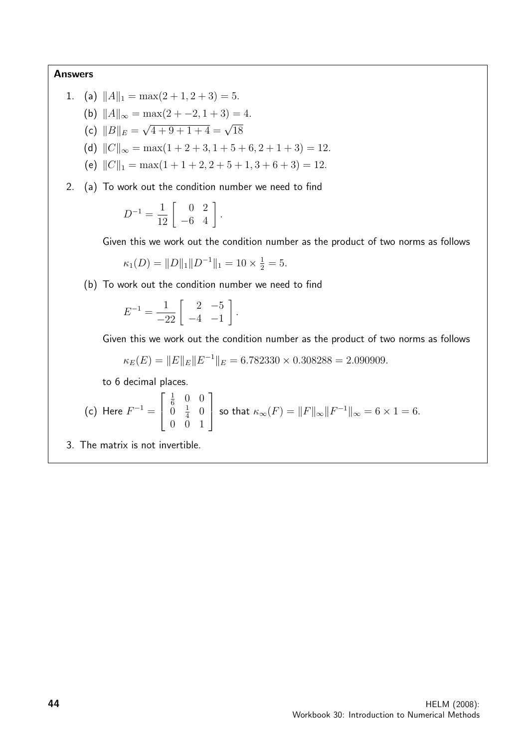#### Answers

1. (a) 
$$
||A||_1 = \max(2+1, 2+3) = 5.
$$

- (b)  $||A||_{\infty} = \max(2 + -2, 1 + 3) = 4.$
- (c)  $||B||_E =$  $\sqrt{4+9+1+4} = \sqrt{18}$
- (d)  $||C||_{\infty} = \max(1 + 2 + 3, 1 + 5 + 6, 2 + 1 + 3) = 12.$
- (e)  $||C||_1 = \max(1 + 1 + 2, 2 + 5 + 1, 3 + 6 + 3) = 12.$
- 2. (a) To work out the condition number we need to find

$$
D^{-1} = \frac{1}{12} \left[ \begin{array}{cc} 0 & 2 \\ -6 & 4 \end{array} \right].
$$

Given this we work out the condition number as the product of two norms as follows

$$
\kappa_1(D) = ||D||_1 ||D^{-1}||_1 = 10 \times \frac{1}{2} = 5.
$$

(b) To work out the condition number we need to find

$$
E^{-1} = \frac{1}{-22} \left[ \begin{array}{rr} 2 & -5 \\ -4 & -1 \end{array} \right].
$$

Given this we work out the condition number as the product of two norms as follows

$$
\kappa_E(E) = ||E||_E ||E^{-1}||_E = 6.782330 \times 0.308288 = 2.090909.
$$

to 6 decimal places.

(c) Here 
$$
F^{-1} = \begin{bmatrix} \frac{1}{6} & 0 & 0 \\ 0 & \frac{1}{4} & 0 \\ 0 & 0 & 1 \end{bmatrix}
$$
 so that  $\kappa_{\infty}(F) = ||F||_{\infty} ||F^{-1}||_{\infty} = 6 \times 1 = 6$ .

3. The matrix is not invertible.